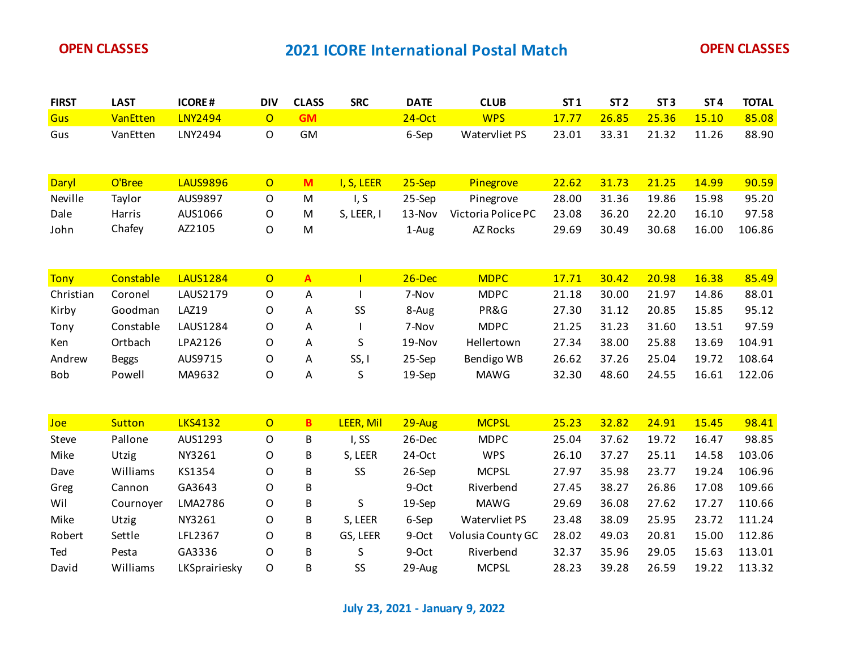| <b>FIRST</b> | <b>LAST</b>   | <b>ICORE#</b>   | <b>DIV</b>     | <b>CLASS</b>   | <b>SRC</b>   | <b>DATE</b> | <b>CLUB</b>        | ST <sub>1</sub> | ST <sub>2</sub> | ST <sub>3</sub> | ST <sub>4</sub> | <b>TOTAL</b> |
|--------------|---------------|-----------------|----------------|----------------|--------------|-------------|--------------------|-----------------|-----------------|-----------------|-----------------|--------------|
| Gus          | VanEtten      | <b>LNY2494</b>  | $\overline{O}$ | <b>GM</b>      |              | $24$ -Oct   | <b>WPS</b>         | 17.77           | 26.85           | 25.36           | 15.10           | 85.08        |
| Gus          | VanEtten      | LNY2494         | $\mathsf O$    | GM             |              | 6-Sep       | Watervliet PS      | 23.01           | 33.31           | 21.32           | 11.26           | 88.90        |
|              |               |                 |                |                |              |             |                    |                 |                 |                 |                 |              |
| Daryl        | O'Bree        | <b>LAUS9896</b> | $\overline{O}$ | M              | I, S, LEER   | $25-Sep$    | Pinegrove          | 22.62           | 31.73           | 21.25           | 14.99           | 90.59        |
| Neville      | Taylor        | AUS9897         | $\mathsf O$    | ${\sf M}$      | I, S         | 25-Sep      | Pinegrove          | 28.00           | 31.36           | 19.86           | 15.98           | 95.20        |
| Dale         | Harris        | AUS1066         | O              | M              | S, LEER, I   | 13-Nov      | Victoria Police PC | 23.08           | 36.20           | 22.20           | 16.10           | 97.58        |
| John         | Chafey        | AZ2105          | O              | M              |              | 1-Aug       | AZ Rocks           | 29.69           | 30.49           | 30.68           | 16.00           | 106.86       |
|              |               |                 |                |                |              |             |                    |                 |                 |                 |                 |              |
| <b>Tony</b>  | Constable     | <b>LAUS1284</b> | $\overline{O}$ | $\overline{A}$ | $\mathbf{I}$ | $26$ -Dec   | <b>MDPC</b>        | 17.71           | 30.42           | 20.98           | 16.38           | 85.49        |
| Christian    | Coronel       | LAUS2179        | $\mathsf O$    | Α              |              | 7-Nov       | <b>MDPC</b>        | 21.18           | 30.00           | 21.97           | 14.86           | 88.01        |
| Kirby        | Goodman       | <b>LAZ19</b>    | O              | Α              | SS           | 8-Aug       | PR&G               | 27.30           | 31.12           | 20.85           | 15.85           | 95.12        |
| Tony         | Constable     | <b>LAUS1284</b> | O              | A              |              | 7-Nov       | <b>MDPC</b>        | 21.25           | 31.23           | 31.60           | 13.51           | 97.59        |
| Ken          | Ortbach       | LPA2126         | O              | Α              | S            | 19-Nov      | Hellertown         | 27.34           | 38.00           | 25.88           | 13.69           | 104.91       |
| Andrew       | <b>Beggs</b>  | AUS9715         | O              | Α              | SS, I        | 25-Sep      | Bendigo WB         | 26.62           | 37.26           | 25.04           | 19.72           | 108.64       |
| Bob          | Powell        | MA9632          | O              | Α              | S            | 19-Sep      | <b>MAWG</b>        | 32.30           | 48.60           | 24.55           | 16.61           | 122.06       |
|              |               |                 |                |                |              |             |                    |                 |                 |                 |                 |              |
| Joe          | <b>Sutton</b> | <b>LKS4132</b>  | $\overline{O}$ | $\overline{B}$ | LEER, Mil    | $29 - Aug$  | <b>MCPSL</b>       | 25.23           | 32.82           | 24.91           | 15.45           | 98.41        |
| Steve        | Pallone       | AUS1293         | O              | B              | I, SS        | 26-Dec      | <b>MDPC</b>        | 25.04           | 37.62           | 19.72           | 16.47           | 98.85        |
| Mike         | Utzig         | NY3261          | O              | B              | S, LEER      | 24-Oct      | <b>WPS</b>         | 26.10           | 37.27           | 25.11           | 14.58           | 103.06       |
| Dave         | Williams      | KS1354          | O              | B              | SS           | 26-Sep      | <b>MCPSL</b>       | 27.97           | 35.98           | 23.77           | 19.24           | 106.96       |
| Greg         | Cannon        | GA3643          | O              | B              |              | 9-Oct       | Riverbend          | 27.45           | 38.27           | 26.86           | 17.08           | 109.66       |
| Wil          | Cournoyer     | LMA2786         | O              | B              | S            | 19-Sep      | <b>MAWG</b>        | 29.69           | 36.08           | 27.62           | 17.27           | 110.66       |
| Mike         | Utzig         | NY3261          | O              | B              | S, LEER      | 6-Sep       | Watervliet PS      | 23.48           | 38.09           | 25.95           | 23.72           | 111.24       |
| Robert       | Settle        | LFL2367         | O              | B              | GS, LEER     | 9-Oct       | Volusia County GC  | 28.02           | 49.03           | 20.81           | 15.00           | 112.86       |
| Ted          | Pesta         | GA3336          | O              | B              | S            | 9-Oct       | Riverbend          | 32.37           | 35.96           | 29.05           | 15.63           | 113.01       |
| David        | Williams      | LKSprairiesky   | O              | В              | SS           | 29-Aug      | <b>MCPSL</b>       | 28.23           | 39.28           | 26.59           | 19.22           | 113.32       |

**July 23, 2021 - January 9, 2022**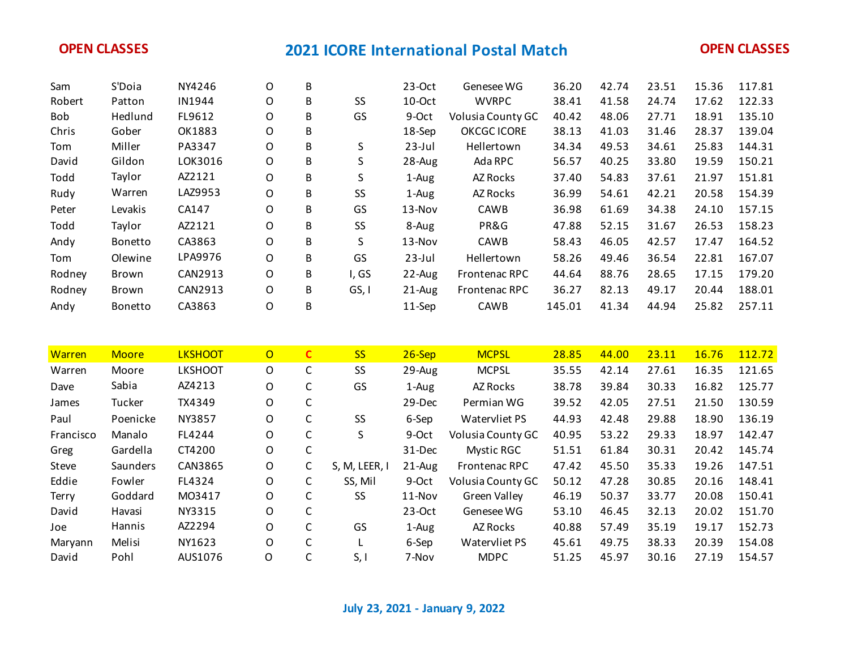| Sam           | S'Doia       | NY4246         | O              | В            |               | 23-Oct    | Genesee WG         | 36.20  | 42.74 | 23.51 | 15.36 | 117.81 |
|---------------|--------------|----------------|----------------|--------------|---------------|-----------|--------------------|--------|-------|-------|-------|--------|
| Robert        | Patton       | IN1944         | O              | B            | SS            | 10-Oct    | <b>WVRPC</b>       | 38.41  | 41.58 | 24.74 | 17.62 | 122.33 |
| Bob           | Hedlund      | FL9612         | O              | B            | GS            | 9-Oct     | Volusia County GC  | 40.42  | 48.06 | 27.71 | 18.91 | 135.10 |
| Chris         | Gober        | OK1883         | O              | B            |               | 18-Sep    | <b>OKCGC ICORE</b> | 38.13  | 41.03 | 31.46 | 28.37 | 139.04 |
| Tom           | Miller       | PA3347         | O              | B            | S             | $23$ -Jul | Hellertown         | 34.34  | 49.53 | 34.61 | 25.83 | 144.31 |
| David         | Gildon       | LOK3016        | O              | B            | S             | 28-Aug    | Ada RPC            | 56.57  | 40.25 | 33.80 | 19.59 | 150.21 |
| Todd          | Taylor       | AZ2121         | O              | B            | S             | 1-Aug     | AZ Rocks           | 37.40  | 54.83 | 37.61 | 21.97 | 151.81 |
| Rudy          | Warren       | LAZ9953        | O              | B            | SS            | 1-Aug     | AZ Rocks           | 36.99  | 54.61 | 42.21 | 20.58 | 154.39 |
| Peter         | Levakis      | CA147          | O              | B            | GS            | 13-Nov    | CAWB               | 36.98  | 61.69 | 34.38 | 24.10 | 157.15 |
| Todd          | Taylor       | AZ2121         | O              | B            | SS            | 8-Aug     | PR&G               | 47.88  | 52.15 | 31.67 | 26.53 | 158.23 |
| Andy          | Bonetto      | CA3863         | O              | B            | S             | 13-Nov    | CAWB               | 58.43  | 46.05 | 42.57 | 17.47 | 164.52 |
| Tom           | Olewine      | LPA9976        | O              | B            | GS            | $23$ -Jul | Hellertown         | 58.26  | 49.46 | 36.54 | 22.81 | 167.07 |
| Rodney        | Brown        | CAN2913        | O              | B            | I, GS         | 22-Aug    | Frontenac RPC      | 44.64  | 88.76 | 28.65 | 17.15 | 179.20 |
| Rodney        | Brown        | CAN2913        | $\mathsf O$    | B            | GS, I         | 21-Aug    | Frontenac RPC      | 36.27  | 82.13 | 49.17 | 20.44 | 188.01 |
| Andy          | Bonetto      | CA3863         | O              | B            |               | 11-Sep    | CAWB               | 145.01 | 41.34 | 44.94 | 25.82 | 257.11 |
|               |              |                |                |              |               |           |                    |        |       |       |       |        |
|               |              |                |                |              |               |           |                    |        |       |       |       |        |
| <b>Warren</b> | <b>Moore</b> | <b>LKSHOOT</b> | $\overline{O}$ | $\mathbf{C}$ | <b>SS</b>     | $26-Sep$  | <b>MCPSL</b>       | 28.85  | 44.00 | 23.11 | 16.76 | 112.72 |
| Warren        | Moore        | <b>LKSHOOT</b> | $\mathsf O$    | $\mathsf C$  | SS            | 29-Aug    | <b>MCPSL</b>       | 35.55  | 42.14 | 27.61 | 16.35 | 121.65 |
| Dave          | Sabia        | AZ4213         | O              | C            | GS            | 1-Aug     | AZ Rocks           | 38.78  | 39.84 | 30.33 | 16.82 | 125.77 |
| James         | Tucker       | TX4349         | O              | $\mathsf C$  |               | 29-Dec    | Permian WG         | 39.52  | 42.05 | 27.51 | 21.50 | 130.59 |
| Paul          | Poenicke     | NY3857         | O              | C            | SS            | 6-Sep     | Watervliet PS      | 44.93  | 42.48 | 29.88 | 18.90 | 136.19 |
| Francisco     | Manalo       | FL4244         | O              | $\mathsf C$  | S             | 9-Oct     | Volusia County GC  | 40.95  | 53.22 | 29.33 | 18.97 | 142.47 |
| Greg          | Gardella     | CT4200         | O              | $\mathsf C$  |               | 31-Dec    | <b>Mystic RGC</b>  | 51.51  | 61.84 | 30.31 | 20.42 | 145.74 |
| Steve         | Saunders     | CAN3865        | O              | $\mathsf C$  | S, M, LEER, I | 21-Aug    | Frontenac RPC      | 47.42  | 45.50 | 35.33 | 19.26 | 147.51 |
| Eddie         | Fowler       | FL4324         | O              | C            | SS, Mil       | 9-Oct     | Volusia County GC  | 50.12  | 47.28 | 30.85 | 20.16 | 148.41 |
| Terry         | Goddard      | M03417         | O              | C            | SS            | 11-Nov    | Green Valley       | 46.19  | 50.37 | 33.77 | 20.08 | 150.41 |
| David         | Havasi       | NY3315         | O              | C            |               | 23-Oct    | Genesee WG         | 53.10  | 46.45 | 32.13 | 20.02 | 151.70 |
| Joe           | Hannis       | AZ2294         | O              | $\mathsf C$  | GS            | 1-Aug     | <b>AZ Rocks</b>    | 40.88  | 57.49 | 35.19 | 19.17 | 152.73 |
|               |              |                |                |              |               |           |                    |        |       |       |       |        |
| Maryann       | Melisi       | NY1623         | O              | $\mathsf C$  | L             | 6-Sep     | Watervliet PS      | 45.61  | 49.75 | 38.33 | 20.39 | 154.08 |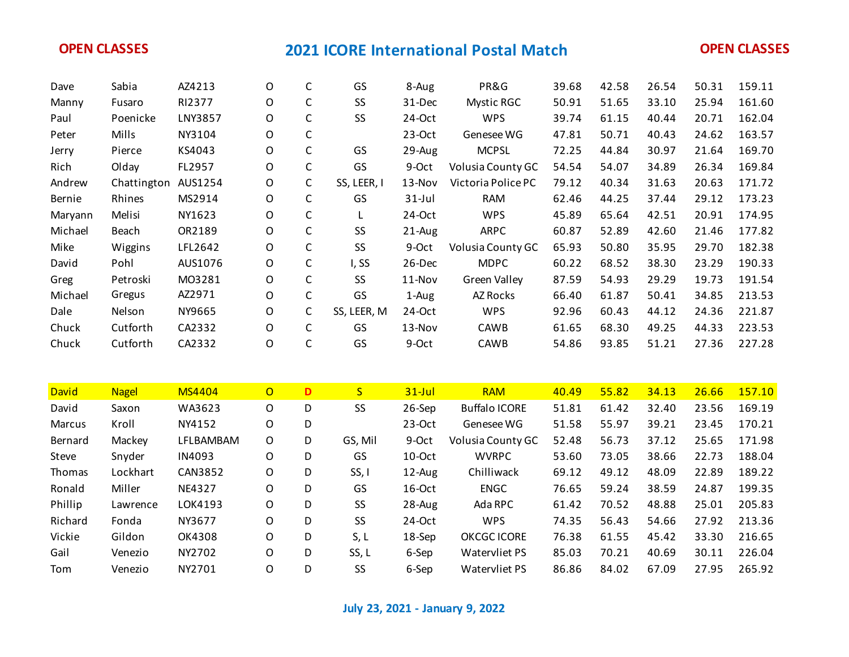| Dave         | Sabia               | AZ4213        | O              | $\mathsf C$ | GS          | 8-Aug     | PR&G                 | 39.68 | 42.58 | 26.54 | 50.31 | 159.11 |
|--------------|---------------------|---------------|----------------|-------------|-------------|-----------|----------------------|-------|-------|-------|-------|--------|
| Manny        | Fusaro              | RI2377        | 0              | $\mathsf C$ | SS          | 31-Dec    | <b>Mystic RGC</b>    | 50.91 | 51.65 | 33.10 | 25.94 | 161.60 |
| Paul         | Poenicke            | LNY3857       | O              | $\mathsf C$ | SS          | 24-Oct    | <b>WPS</b>           | 39.74 | 61.15 | 40.44 | 20.71 | 162.04 |
| Peter        | Mills               | NY3104        | O              | $\mathsf C$ |             | 23-Oct    | Genesee WG           | 47.81 | 50.71 | 40.43 | 24.62 | 163.57 |
| Jerry        | Pierce              | KS4043        | O              | $\mathsf C$ | GS          | 29-Aug    | <b>MCPSL</b>         | 72.25 | 44.84 | 30.97 | 21.64 | 169.70 |
| Rich         | Olday               | FL2957        | 0              | $\mathsf C$ | GS          | 9-Oct     | Volusia County GC    | 54.54 | 54.07 | 34.89 | 26.34 | 169.84 |
| Andrew       | Chattington AUS1254 |               | 0              | $\mathsf C$ | SS, LEER, I | 13-Nov    | Victoria Police PC   | 79.12 | 40.34 | 31.63 | 20.63 | 171.72 |
| Bernie       | Rhines              | MS2914        | 0              | $\mathsf C$ | GS          | $31$ -Jul | <b>RAM</b>           | 62.46 | 44.25 | 37.44 | 29.12 | 173.23 |
| Maryann      | Melisi              | NY1623        | O              | $\mathsf C$ | L           | 24-Oct    | <b>WPS</b>           | 45.89 | 65.64 | 42.51 | 20.91 | 174.95 |
| Michael      | Beach               | OR2189        | 0              | $\mathsf C$ | SS          | 21-Aug    | <b>ARPC</b>          | 60.87 | 52.89 | 42.60 | 21.46 | 177.82 |
| Mike         | Wiggins             | LFL2642       | O              | $\mathsf C$ | SS          | 9-Oct     | Volusia County GC    | 65.93 | 50.80 | 35.95 | 29.70 | 182.38 |
| David        | Pohl                | AUS1076       | O              | $\mathsf C$ | I, SS       | 26-Dec    | <b>MDPC</b>          | 60.22 | 68.52 | 38.30 | 23.29 | 190.33 |
| Greg         | Petroski            | M03281        | O              | $\mathsf C$ | SS          | 11-Nov    | <b>Green Valley</b>  | 87.59 | 54.93 | 29.29 | 19.73 | 191.54 |
| Michael      | Gregus              | AZ2971        | O              | $\mathsf C$ | GS          | 1-Aug     | AZ Rocks             | 66.40 | 61.87 | 50.41 | 34.85 | 213.53 |
| Dale         | Nelson              | NY9665        | O              | $\mathsf C$ | SS, LEER, M | 24-Oct    | <b>WPS</b>           | 92.96 | 60.43 | 44.12 | 24.36 | 221.87 |
| Chuck        | Cutforth            | CA2332        | O              | C           | GS          | 13-Nov    | CAWB                 | 61.65 | 68.30 | 49.25 | 44.33 | 223.53 |
| Chuck        | Cutforth            | CA2332        | O              | $\mathsf C$ | GS          | 9-Oct     | CAWB                 | 54.86 | 93.85 | 51.21 | 27.36 | 227.28 |
|              |                     |               |                |             |             |           |                      |       |       |       |       |        |
|              |                     |               |                |             |             |           |                      |       |       |       |       |        |
| <b>David</b> | <b>Nagel</b>        | <b>MS4404</b> | $\overline{O}$ | D           | S           | $31$ -Jul | <b>RAM</b>           | 40.49 | 55.82 | 34.13 | 26.66 | 157.10 |
| David        | Saxon               | WA3623        | $\mathsf O$    | D           | SS          | 26-Sep    | <b>Buffalo ICORE</b> | 51.81 | 61.42 | 32.40 | 23.56 | 169.19 |
| Marcus       | Kroll               | NY4152        | O              | D           |             | 23-Oct    | Genesee WG           | 51.58 | 55.97 | 39.21 | 23.45 | 170.21 |
| Bernard      | Mackey              | LFLBAMBAM     | $\mathsf O$    | D           | GS, Mil     | 9-Oct     | Volusia County GC    | 52.48 | 56.73 | 37.12 | 25.65 | 171.98 |
| Steve        | Snyder              | IN4093        | O              | D           | GS          | 10-Oct    | <b>WVRPC</b>         | 53.60 | 73.05 | 38.66 | 22.73 | 188.04 |
| Thomas       | Lockhart            | CAN3852       | O              | D           | SS, I       | 12-Aug    | Chilliwack           | 69.12 | 49.12 | 48.09 | 22.89 | 189.22 |
| Ronald       | Miller              | <b>NE4327</b> | O              | D           | GS          | 16-Oct    | <b>ENGC</b>          | 76.65 | 59.24 | 38.59 | 24.87 | 199.35 |
| Phillip      | Lawrence            | LOK4193       | O              | D           | SS          | 28-Aug    | Ada RPC              | 61.42 | 70.52 | 48.88 | 25.01 | 205.83 |
| Richard      | Fonda               | NY3677        | O              | D           | SS          | 24-Oct    | <b>WPS</b>           | 74.35 | 56.43 | 54.66 | 27.92 | 213.36 |
| Vickie       | Gildon              | OK4308        | O              | D           | S, L        | 18-Sep    | <b>OKCGC ICORE</b>   | 76.38 | 61.55 | 45.42 | 33.30 | 216.65 |
| Gail         | Venezio             | NY2702        | O              | D           | SS, L       | 6-Sep     | Watervliet PS        | 85.03 | 70.21 | 40.69 | 30.11 | 226.04 |

**July 23, 2021 - January 9, 2022**

Tom Venezio NY2701 O D SS 6-Sep Watervliet PS 86.86 84.02 67.09 27.95 265.92